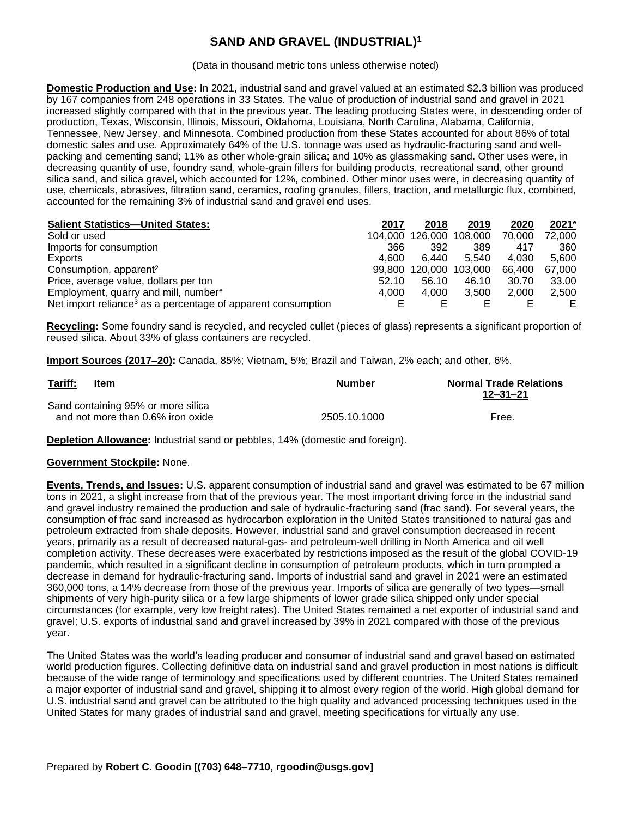## **SAND AND GRAVEL (INDUSTRIAL)<sup>1</sup>**

(Data in thousand metric tons unless otherwise noted)

**Domestic Production and Use:** In 2021, industrial sand and gravel valued at an estimated \$2.3 billion was produced by 167 companies from 248 operations in 33 States. The value of production of industrial sand and gravel in 2021 increased slightly compared with that in the previous year. The leading producing States were, in descending order of production, Texas, Wisconsin, Illinois, Missouri, Oklahoma, Louisiana, North Carolina, Alabama, California, Tennessee, New Jersey, and Minnesota. Combined production from these States accounted for about 86% of total domestic sales and use. Approximately 64% of the U.S. tonnage was used as hydraulic-fracturing sand and wellpacking and cementing sand; 11% as other whole-grain silica; and 10% as glassmaking sand. Other uses were, in decreasing quantity of use, foundry sand, whole-grain fillers for building products, recreational sand, other ground silica sand, and silica gravel, which accounted for 12%, combined. Other minor uses were, in decreasing quantity of use, chemicals, abrasives, filtration sand, ceramics, roofing granules, fillers, traction, and metallurgic flux, combined, accounted for the remaining 3% of industrial sand and gravel end uses.

| <b>Salient Statistics-United States:</b>                                 | 2017  | 2018                    | 2019  | 2020   | $2021$ <sup>e</sup> |
|--------------------------------------------------------------------------|-------|-------------------------|-------|--------|---------------------|
| Sold or used                                                             |       | 104,000 126,000 108,000 |       | 70.000 | 72.000              |
| Imports for consumption                                                  | 366   | 392                     | 389   | 417    | 360                 |
| Exports                                                                  | 4.600 | 6.440                   | 5.540 | 4.030  | 5.600               |
| Consumption, apparent <sup>2</sup>                                       |       | 99,800 120,000 103,000  |       | 66.400 | 67.000              |
| Price, average value, dollars per ton                                    | 52.10 | 56.10                   | 46.10 | 30.70  | 33.00               |
| Employment, quarry and mill, number <sup>e</sup>                         | 4.000 | 4.000                   | 3.500 | 2.000  | 2.500               |
| Net import reliance <sup>3</sup> as a percentage of apparent consumption |       |                         |       |        | E.                  |

**Recycling:** Some foundry sand is recycled, and recycled cullet (pieces of glass) represents a significant proportion of reused silica. About 33% of glass containers are recycled.

**Import Sources (2017–20):** Canada, 85%; Vietnam, 5%; Brazil and Taiwan, 2% each; and other, 6%.

| Tariff: | <b>Item</b>                                                             | <b>Number</b> | <b>Normal Trade Relations</b><br>12–31–21 |
|---------|-------------------------------------------------------------------------|---------------|-------------------------------------------|
|         | Sand containing 95% or more silica<br>and not more than 0.6% iron oxide | 2505.10.1000  | Free.                                     |

**Depletion Allowance:** Industrial sand or pebbles, 14% (domestic and foreign).

## **Government Stockpile:** None.

**Events, Trends, and Issues:** U.S. apparent consumption of industrial sand and gravel was estimated to be 67 million tons in 2021, a slight increase from that of the previous year. The most important driving force in the industrial sand and gravel industry remained the production and sale of hydraulic-fracturing sand (frac sand). For several years, the consumption of frac sand increased as hydrocarbon exploration in the United States transitioned to natural gas and petroleum extracted from shale deposits. However, industrial sand and gravel consumption decreased in recent years, primarily as a result of decreased natural-gas- and petroleum-well drilling in North America and oil well completion activity. These decreases were exacerbated by restrictions imposed as the result of the global COVID-19 pandemic, which resulted in a significant decline in consumption of petroleum products, which in turn prompted a decrease in demand for hydraulic-fracturing sand. Imports of industrial sand and gravel in 2021 were an estimated 360,000 tons, a 14% decrease from those of the previous year. Imports of silica are generally of two types—small shipments of very high-purity silica or a few large shipments of lower grade silica shipped only under special circumstances (for example, very low freight rates). The United States remained a net exporter of industrial sand and gravel; U.S. exports of industrial sand and gravel increased by 39% in 2021 compared with those of the previous year.

The United States was the world's leading producer and consumer of industrial sand and gravel based on estimated world production figures. Collecting definitive data on industrial sand and gravel production in most nations is difficult because of the wide range of terminology and specifications used by different countries. The United States remained a major exporter of industrial sand and gravel, shipping it to almost every region of the world. High global demand for U.S. industrial sand and gravel can be attributed to the high quality and advanced processing techniques used in the United States for many grades of industrial sand and gravel, meeting specifications for virtually any use.